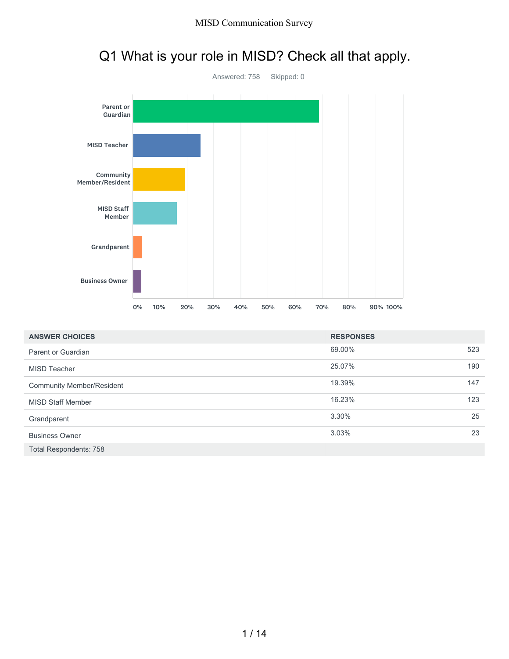

# Q1 What is your role in MISD? Check all that apply.

| <b>ANSWER CHOICES</b>            | <b>RESPONSES</b> |     |
|----------------------------------|------------------|-----|
| Parent or Guardian               | 69.00%           | 523 |
| MISD Teacher                     | 25.07%           | 190 |
| <b>Community Member/Resident</b> | 19.39%           | 147 |
| <b>MISD Staff Member</b>         | 16.23%           | 123 |
| Grandparent                      | 3.30%            | 25  |
| <b>Business Owner</b>            | 3.03%            | 23  |
| <b>Total Respondents: 758</b>    |                  |     |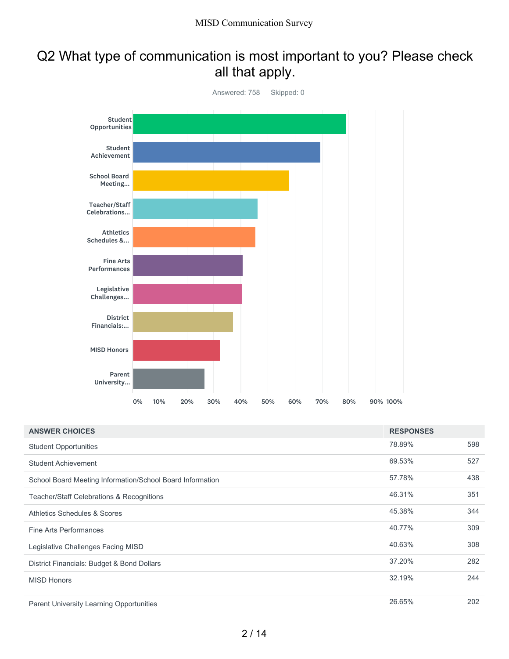### Q2 What type of communication is most important to you? Please check all that apply.



| <b>ANSWER CHOICES</b>                                     | <b>RESPONSES</b> |     |
|-----------------------------------------------------------|------------------|-----|
| <b>Student Opportunities</b>                              | 78.89%           | 598 |
| Student Achievement                                       | 69.53%           | 527 |
| School Board Meeting Information/School Board Information | 57.78%           | 438 |
| Teacher/Staff Celebrations & Recognitions                 | 46.31%           | 351 |
| Athletics Schedules & Scores                              | 45.38%           | 344 |
| Fine Arts Performances                                    | 40.77%           | 309 |
| Legislative Challenges Facing MISD                        | 40.63%           | 308 |
| District Financials: Budget & Bond Dollars                | 37.20%           | 282 |
| <b>MISD Honors</b>                                        | 32.19%           | 244 |
| <b>Parent University Learning Opportunities</b>           | 26.65%           | 202 |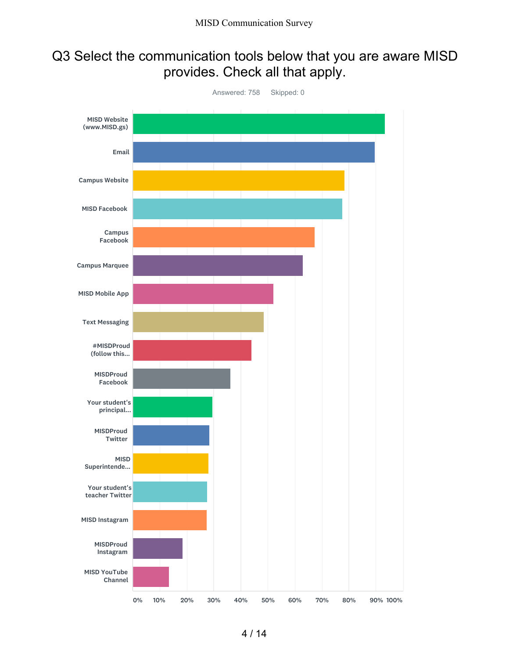## Q3 Select the communication tools below that you are aware MISD provides. Check all that apply.

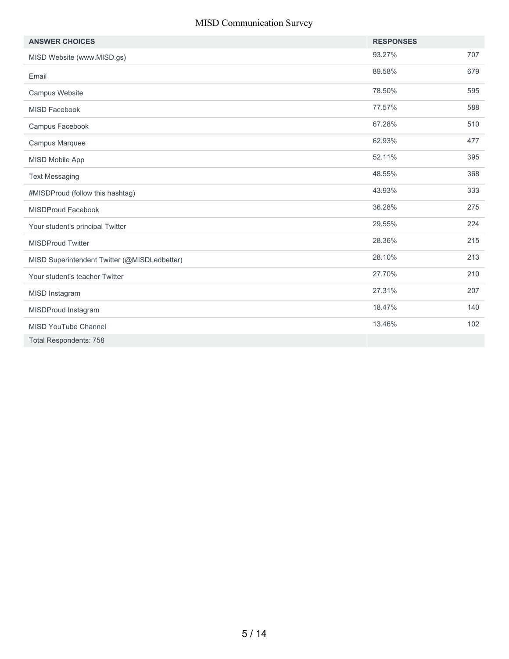| <b>ANSWER CHOICES</b>                        | <b>RESPONSES</b> |     |
|----------------------------------------------|------------------|-----|
| MISD Website (www.MISD.gs)                   | 93.27%           | 707 |
| Email                                        | 89.58%           | 679 |
| Campus Website                               | 78.50%           | 595 |
| <b>MISD Facebook</b>                         | 77.57%           | 588 |
| Campus Facebook                              | 67.28%           | 510 |
| Campus Marquee                               | 62.93%           | 477 |
| MISD Mobile App                              | 52.11%           | 395 |
| <b>Text Messaging</b>                        | 48.55%           | 368 |
| #MISDProud (follow this hashtag)             | 43.93%           | 333 |
| <b>MISDProud Facebook</b>                    | 36.28%           | 275 |
| Your student's principal Twitter             | 29.55%           | 224 |
| <b>MISDProud Twitter</b>                     | 28.36%           | 215 |
| MISD Superintendent Twitter (@MISDLedbetter) | 28.10%           | 213 |
| Your student's teacher Twitter               | 27.70%           | 210 |
| MISD Instagram                               | 27.31%           | 207 |
| MISDProud Instagram                          | 18.47%           | 140 |
| <b>MISD YouTube Channel</b>                  | 13.46%           | 102 |
| <b>Total Respondents: 758</b>                |                  |     |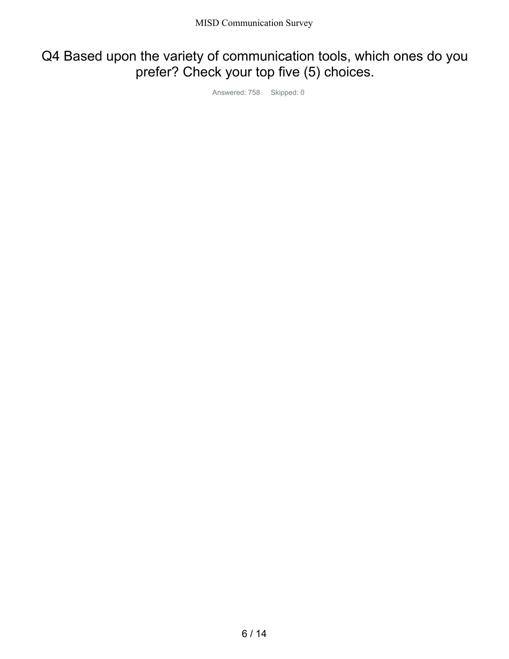## Q4 Based upon the variety of communication tools, which ones do you prefer? Check your top five (5) choices.

Answered: 758 Skipped: 0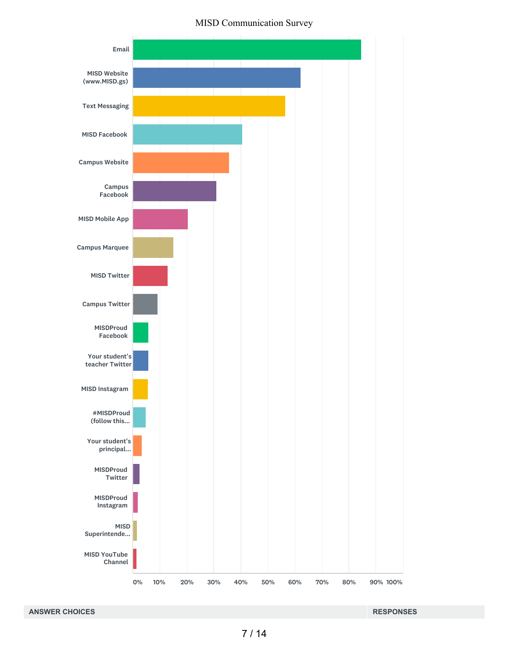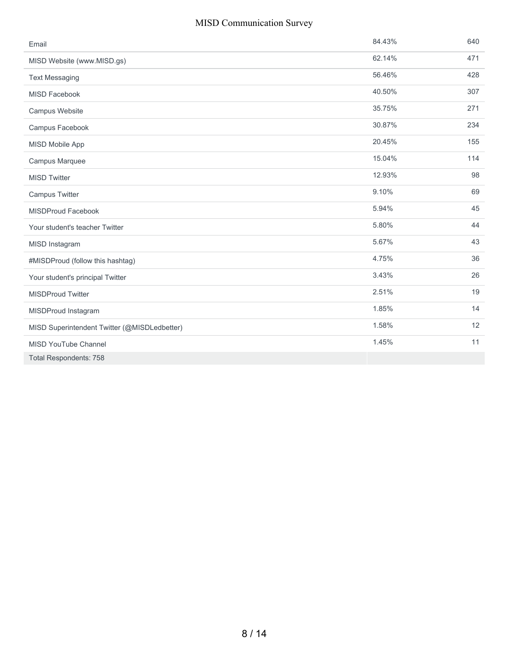| Email                                        | 84.43% | 640 |
|----------------------------------------------|--------|-----|
| MISD Website (www.MISD.gs)                   | 62.14% | 471 |
| <b>Text Messaging</b>                        | 56.46% | 428 |
| <b>MISD Facebook</b>                         | 40.50% | 307 |
| Campus Website                               | 35.75% | 271 |
| Campus Facebook                              | 30.87% | 234 |
| MISD Mobile App                              | 20.45% | 155 |
| Campus Marquee                               | 15.04% | 114 |
| <b>MISD Twitter</b>                          | 12.93% | 98  |
| Campus Twitter                               | 9.10%  | 69  |
| MISDProud Facebook                           | 5.94%  | 45  |
| Your student's teacher Twitter               | 5.80%  | 44  |
| MISD Instagram                               | 5.67%  | 43  |
| #MISDProud (follow this hashtag)             | 4.75%  | 36  |
| Your student's principal Twitter             | 3.43%  | 26  |
| <b>MISDProud Twitter</b>                     | 2.51%  | 19  |
| MISDProud Instagram                          | 1.85%  | 14  |
| MISD Superintendent Twitter (@MISDLedbetter) | 1.58%  | 12  |
| <b>MISD YouTube Channel</b>                  | 1.45%  | 11  |
| <b>Total Respondents: 758</b>                |        |     |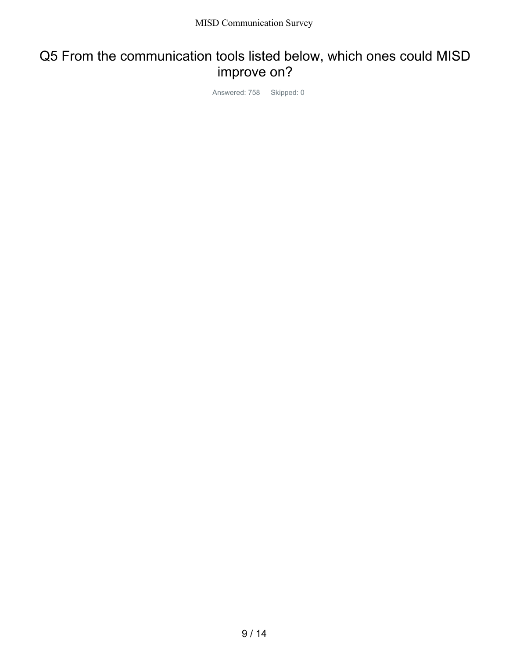### Q5 From the communication tools listed below, which ones could MISD improve on?

Answered: 758 Skipped: 0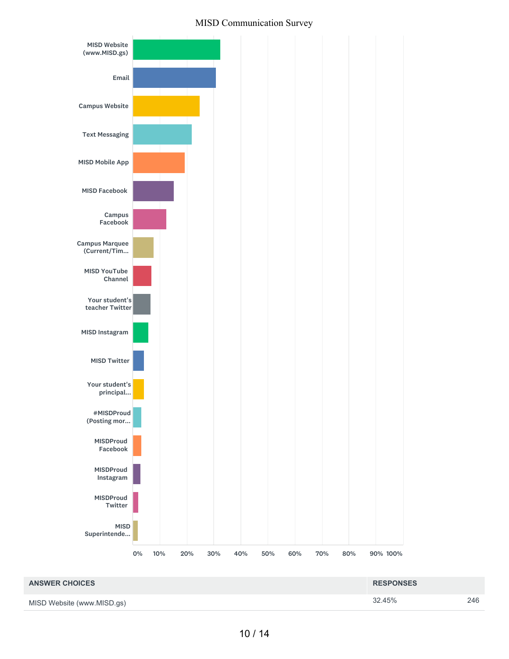



MISD Website (www.MISD.gs)

10 / 14

32.45% 246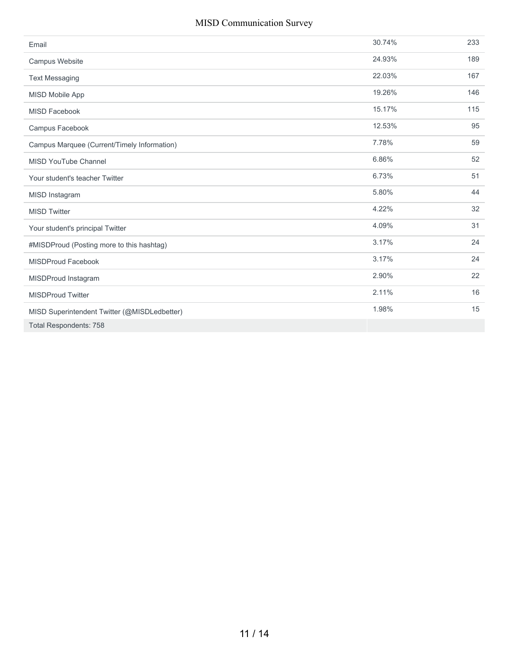| Email                                        | 30.74% | 233 |
|----------------------------------------------|--------|-----|
| Campus Website                               | 24.93% | 189 |
| <b>Text Messaging</b>                        | 22.03% | 167 |
| <b>MISD Mobile App</b>                       | 19.26% | 146 |
| <b>MISD Facebook</b>                         | 15.17% | 115 |
| Campus Facebook                              | 12.53% | 95  |
| Campus Marquee (Current/Timely Information)  | 7.78%  | 59  |
| <b>MISD YouTube Channel</b>                  | 6.86%  | 52  |
| Your student's teacher Twitter               | 6.73%  | 51  |
| MISD Instagram                               | 5.80%  | 44  |
| <b>MISD Twitter</b>                          | 4.22%  | 32  |
| Your student's principal Twitter             | 4.09%  | 31  |
| #MISDProud (Posting more to this hashtag)    | 3.17%  | 24  |
| <b>MISDProud Facebook</b>                    | 3.17%  | 24  |
| MISDProud Instagram                          | 2.90%  | 22  |
| <b>MISDProud Twitter</b>                     | 2.11%  | 16  |
| MISD Superintendent Twitter (@MISDLedbetter) | 1.98%  | 15  |
| <b>Total Respondents: 758</b>                |        |     |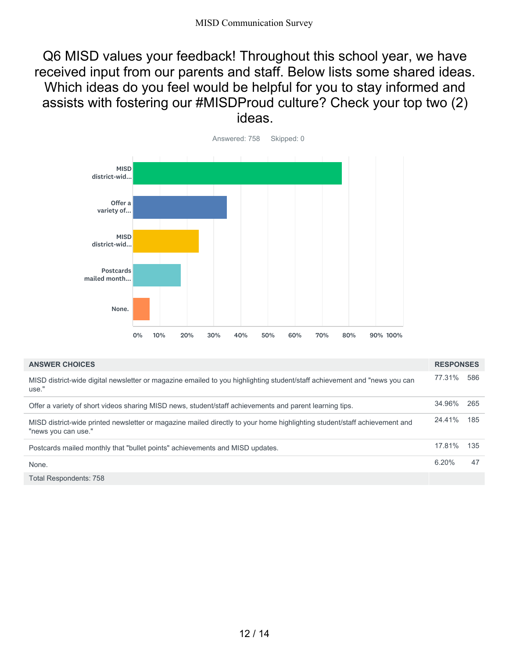Q6 MISD values your feedback! Throughout this school year, we have received input from our parents and staff. Below lists some shared ideas. Which ideas do you feel would be helpful for you to stay informed and assists with fostering our #MISDProud culture? Check your top two (2) ideas.



| <b>ANSWER CHOICES</b>                                                                                                                            | <b>RESPONSES</b> |      |
|--------------------------------------------------------------------------------------------------------------------------------------------------|------------------|------|
| MISD district-wide digital newsletter or magazine emailed to you highlighting student/staff achievement and "news you can<br>use."               | 77.31%           | 586  |
| Offer a variety of short videos sharing MISD news, student/staff achievements and parent learning tips.                                          | 34.96%           | -265 |
| MISD district-wide printed newsletter or magazine mailed directly to your home highlighting student/staff achievement and<br>"news you can use." | 24.41%           | 185  |
| Postcards mailed monthly that "bullet points" achievements and MISD updates.                                                                     | 17.81%           | 135  |
| None.                                                                                                                                            | 6.20%            | 47   |
| Total Respondents: 758                                                                                                                           |                  |      |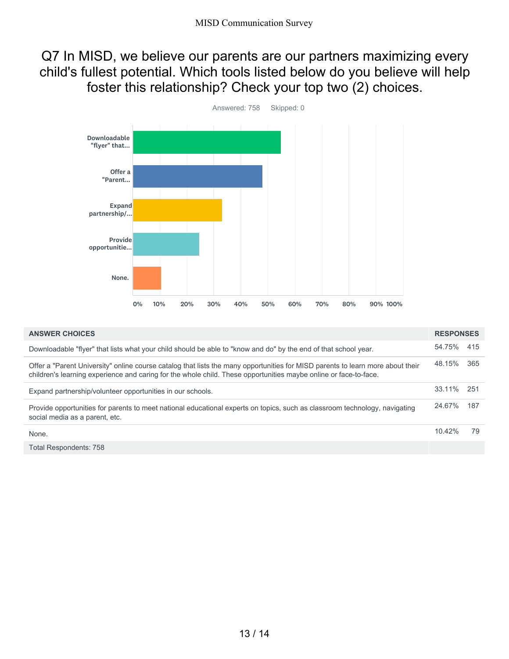### Q7 In MISD, we believe our parents are our partners maximizing every child's fullest potential. Which tools listed below do you believe will help foster this relationship? Check your top two (2) choices.



| <b>ANSWER CHOICES</b>                                                                                                                                                                                                                              | <b>RESPONSES</b> |      |
|----------------------------------------------------------------------------------------------------------------------------------------------------------------------------------------------------------------------------------------------------|------------------|------|
| Downloadable "flyer" that lists what your child should be able to "know and do" by the end of that school year.                                                                                                                                    | 54.75%           | 415  |
| Offer a "Parent University" online course catalog that lists the many opportunities for MISD parents to learn more about their<br>children's learning experience and caring for the whole child. These opportunities maybe online or face-to-face. | 48.15%           | 365  |
| Expand partnership/volunteer opportunities in our schools.                                                                                                                                                                                         | 33.11%           | -251 |
| Provide opportunities for parents to meet national educational experts on topics, such as classroom technology, navigating<br>social media as a parent, etc.                                                                                       | 24.67%           | 187  |
| None.                                                                                                                                                                                                                                              | 10.42%           | 79   |
| <b>Total Respondents: 758</b>                                                                                                                                                                                                                      |                  |      |

13 / 14